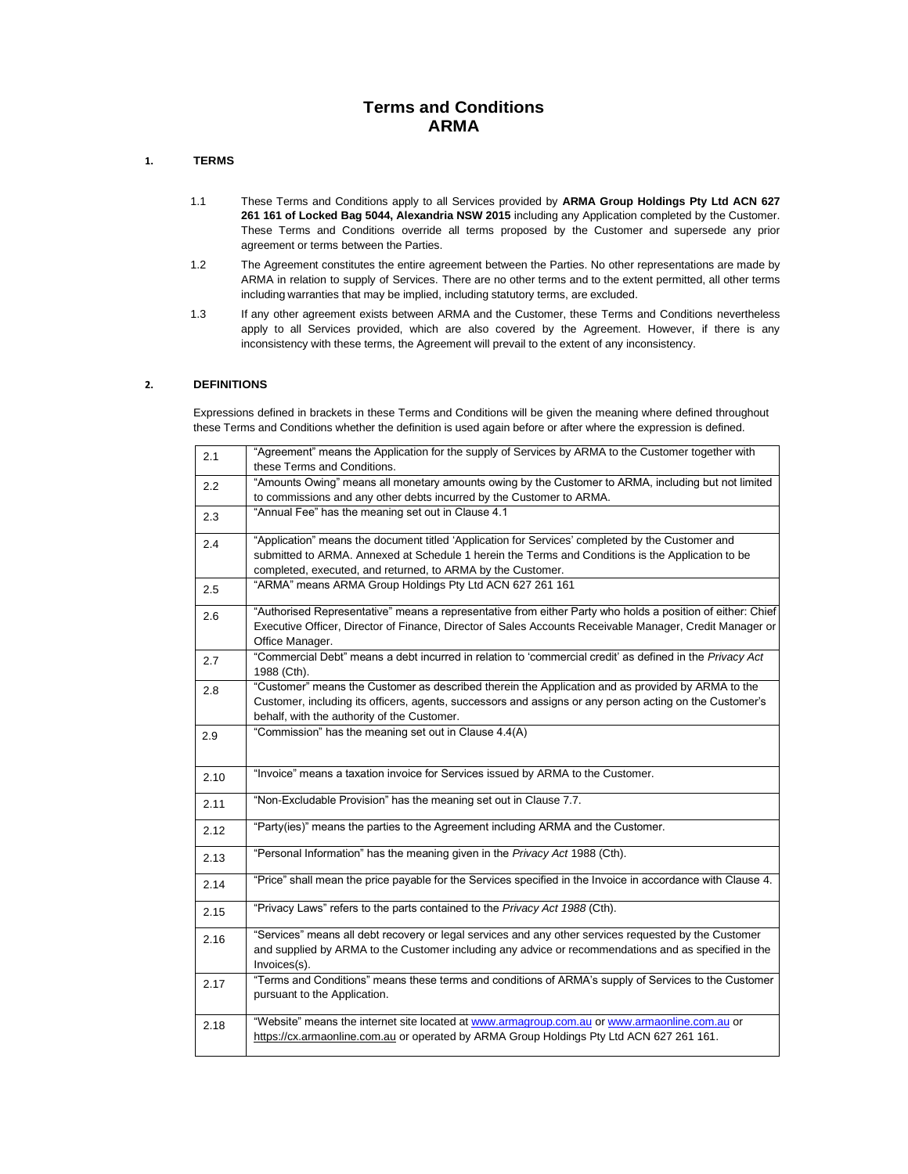## **Terms and Conditions ARMA**

## **1. TERMS**

- 1.1 These Terms and Conditions apply to all Services provided by **ARMA Group Holdings Pty Ltd ACN 627 261 161 of Locked Bag 5044, Alexandria NSW 2015** including any Application completed by the Customer. These Terms and Conditions override all terms proposed by the Customer and supersede any prior agreement or terms between the Parties.
- 1.2 The Agreement constitutes the entire agreement between the Parties. No other representations are made by ARMA in relation to supply of Services. There are no other terms and to the extent permitted, all other terms including warranties that may be implied, including statutory terms, are excluded.
- 1.3 If any other agreement exists between ARMA and the Customer, these Terms and Conditions nevertheless apply to all Services provided, which are also covered by the Agreement. However, if there is any inconsistency with these terms, the Agreement will prevail to the extent of any inconsistency.

## **2. DEFINITIONS**

Expressions defined in brackets in these Terms and Conditions will be given the meaning where defined throughout these Terms and Conditions whether the definition is used again before or after where the expression is defined.

| 2.1  | "Agreement" means the Application for the supply of Services by ARMA to the Customer together with<br>these Terms and Conditions. |
|------|-----------------------------------------------------------------------------------------------------------------------------------|
|      | "Amounts Owing" means all monetary amounts owing by the Customer to ARMA, including but not limited                               |
| 2.2  |                                                                                                                                   |
|      | to commissions and any other debts incurred by the Customer to ARMA.                                                              |
| 2.3  | "Annual Fee" has the meaning set out in Clause 4.1                                                                                |
| 2.4  | "Application" means the document titled 'Application for Services' completed by the Customer and                                  |
|      | submitted to ARMA. Annexed at Schedule 1 herein the Terms and Conditions is the Application to be                                 |
|      | completed, executed, and returned, to ARMA by the Customer.                                                                       |
| 2.5  | "ARMA" means ARMA Group Holdings Pty Ltd ACN 627 261 161                                                                          |
|      | "Authorised Representative" means a representative from either Party who holds a position of either: Chief                        |
| 2.6  |                                                                                                                                   |
|      | Executive Officer, Director of Finance, Director of Sales Accounts Receivable Manager, Credit Manager or                          |
|      | Office Manager.                                                                                                                   |
| 2.7  | "Commercial Debt" means a debt incurred in relation to 'commercial credit' as defined in the Privacy Act                          |
|      | 1988 (Cth).                                                                                                                       |
| 2.8  | "Customer" means the Customer as described therein the Application and as provided by ARMA to the                                 |
|      | Customer, including its officers, agents, successors and assigns or any person acting on the Customer's                           |
|      | behalf, with the authority of the Customer.                                                                                       |
| 2.9  | "Commission" has the meaning set out in Clause 4.4(A)                                                                             |
|      |                                                                                                                                   |
|      |                                                                                                                                   |
|      |                                                                                                                                   |
|      | "Invoice" means a taxation invoice for Services issued by ARMA to the Customer.                                                   |
| 2.10 |                                                                                                                                   |
|      | "Non-Excludable Provision" has the meaning set out in Clause 7.7.                                                                 |
| 2.11 |                                                                                                                                   |
|      | "Party(ies)" means the parties to the Agreement including ARMA and the Customer.                                                  |
| 2.12 |                                                                                                                                   |
| 2.13 | "Personal Information" has the meaning given in the Privacy Act 1988 (Cth).                                                       |
|      |                                                                                                                                   |
| 2.14 | "Price" shall mean the price payable for the Services specified in the Invoice in accordance with Clause 4.                       |
|      |                                                                                                                                   |
| 2.15 | "Privacy Laws" refers to the parts contained to the Privacy Act 1988 (Cth).                                                       |
|      |                                                                                                                                   |
| 2.16 | "Services" means all debt recovery or legal services and any other services requested by the Customer                             |
|      | and supplied by ARMA to the Customer including any advice or recommendations and as specified in the                              |
|      | Invoices(s).                                                                                                                      |
|      | "Terms and Conditions" means these terms and conditions of ARMA's supply of Services to the Customer                              |
| 2.17 | pursuant to the Application.                                                                                                      |
|      |                                                                                                                                   |
|      | "Website" means the internet site located at www.armagroup.com.au or www.armaonline.com.au or                                     |
| 2.18 | https://cx.armaonline.com.au or operated by ARMA Group Holdings Pty Ltd ACN 627 261 161.                                          |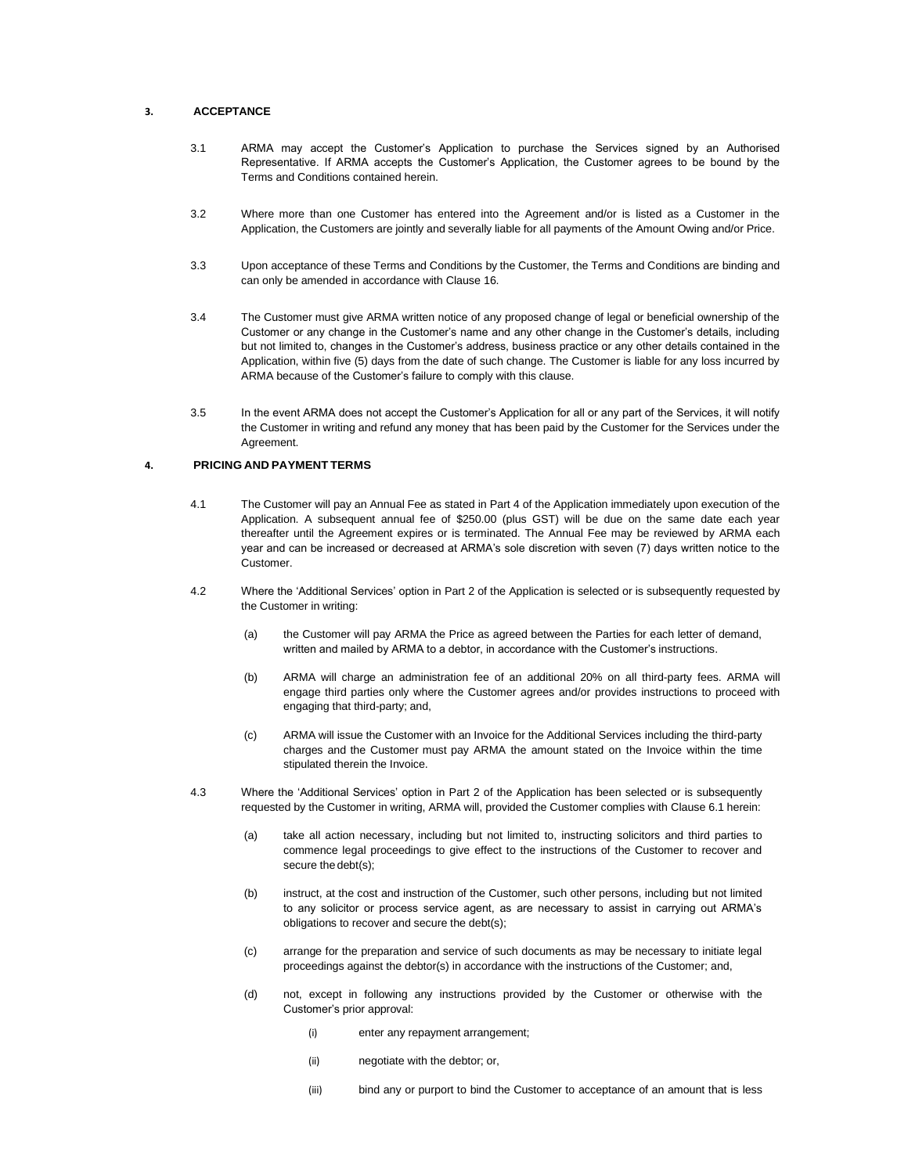## **3. ACCEPTANCE**

- 3.1 ARMA may accept the Customer's Application to purchase the Services signed by an Authorised Representative. If ARMA accepts the Customer's Application, the Customer agrees to be bound by the Terms and Conditions contained herein.
- 3.2 Where more than one Customer has entered into the Agreement and/or is listed as a Customer in the Application, the Customers are jointly and severally liable for all payments of the Amount Owing and/or Price.
- 3.3 Upon acceptance of these Terms and Conditions by the Customer, the Terms and Conditions are binding and can only be amended in accordance with Clause 16.
- 3.4 The Customer must give ARMA written notice of any proposed change of legal or beneficial ownership of the Customer or any change in the Customer's name and any other change in the Customer's details, including but not limited to, changes in the Customer's address, business practice or any other details contained in the Application, within five (5) days from the date of such change. The Customer is liable for any loss incurred by ARMA because of the Customer's failure to comply with this clause.
- 3.5 In the event ARMA does not accept the Customer's Application for all or any part of the Services, it will notify the Customer in writing and refund any money that has been paid by the Customer for the Services under the Agreement.

## **4. PRICING AND PAYMENT TERMS**

- 4.1 The Customer will pay an Annual Fee as stated in Part 4 of the Application immediately upon execution of the Application. A subsequent annual fee of \$250.00 (plus GST) will be due on the same date each year thereafter until the Agreement expires or is terminated. The Annual Fee may be reviewed by ARMA each year and can be increased or decreased at ARMA's sole discretion with seven (7) days written notice to the Customer.
- 4.2 Where the 'Additional Services' option in Part 2 of the Application is selected or is subsequently requested by the Customer in writing:
	- (a) the Customer will pay ARMA the Price as agreed between the Parties for each letter of demand, written and mailed by ARMA to a debtor, in accordance with the Customer's instructions.
	- (b) ARMA will charge an administration fee of an additional 20% on all third-party fees. ARMA will engage third parties only where the Customer agrees and/or provides instructions to proceed with engaging that third-party; and,
	- (c) ARMA will issue the Customer with an Invoice for the Additional Services including the third-party charges and the Customer must pay ARMA the amount stated on the Invoice within the time stipulated therein the Invoice.
- 4.3 Where the 'Additional Services' option in Part 2 of the Application has been selected or is subsequently requested by the Customer in writing, ARMA will, provided the Customer complies with Clause 6.1 herein:
	- (a) take all action necessary, including but not limited to, instructing solicitors and third parties to commence legal proceedings to give effect to the instructions of the Customer to recover and secure thedebt(s);
	- (b) instruct, at the cost and instruction of the Customer, such other persons, including but not limited to any solicitor or process service agent, as are necessary to assist in carrying out ARMA's obligations to recover and secure the debt(s);
	- (c) arrange for the preparation and service of such documents as may be necessary to initiate legal proceedings against the debtor(s) in accordance with the instructions of the Customer; and,
	- (d) not, except in following any instructions provided by the Customer or otherwise with the Customer's prior approval:
		- (i) enter any repayment arrangement;
		- (ii) negotiate with the debtor; or,
		- (iii) bind any or purport to bind the Customer to acceptance of an amount that is less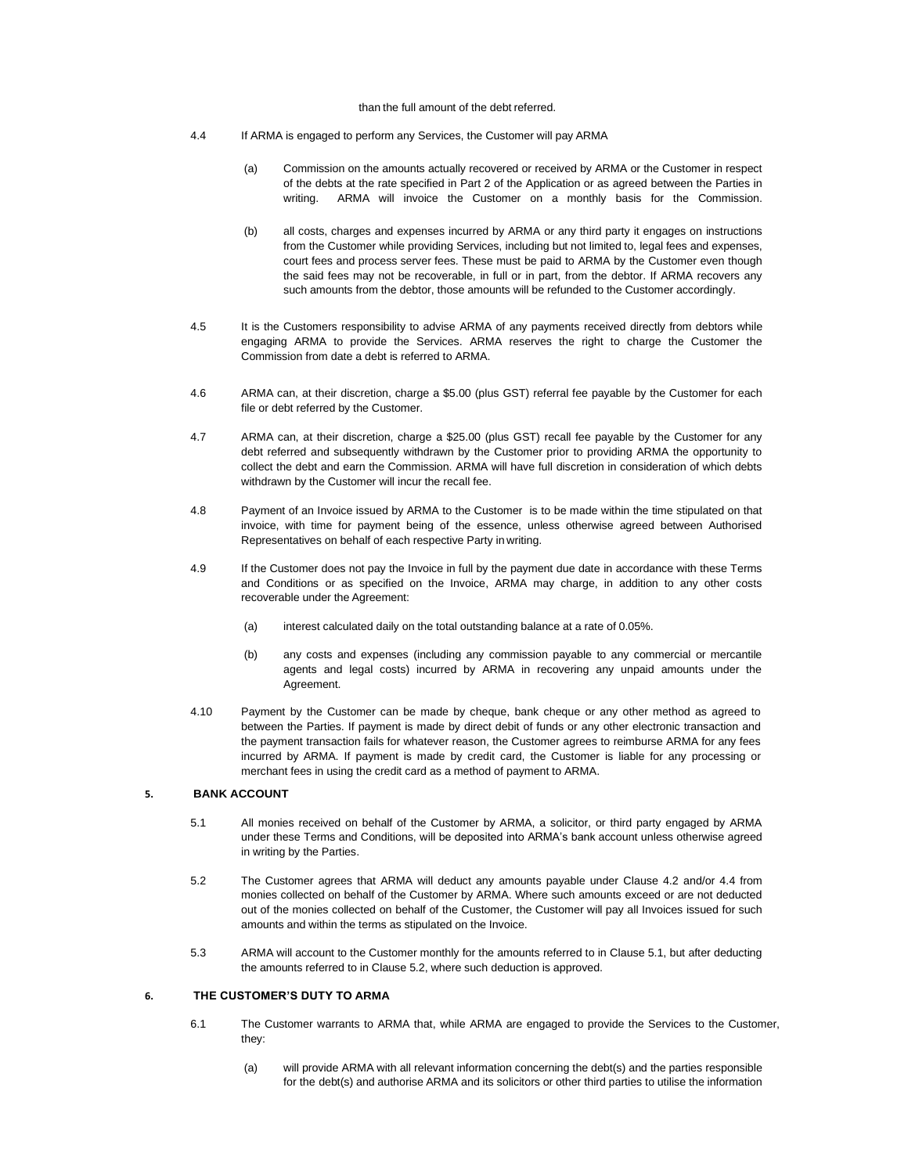## than the full amount of the debt referred.

- 4.4 If ARMA is engaged to perform any Services, the Customer will pay ARMA
	- (a) Commission on the amounts actually recovered or received by ARMA or the Customer in respect of the debts at the rate specified in Part 2 of the Application or as agreed between the Parties in writing. ARMA will invoice the Customer on a monthly basis for the Commission.
	- (b) all costs, charges and expenses incurred by ARMA or any third party it engages on instructions from the Customer while providing Services, including but not limited to, legal fees and expenses, court fees and process server fees. These must be paid to ARMA by the Customer even though the said fees may not be recoverable, in full or in part, from the debtor. If ARMA recovers any such amounts from the debtor, those amounts will be refunded to the Customer accordingly.
- 4.5 It is the Customers responsibility to advise ARMA of any payments received directly from debtors while engaging ARMA to provide the Services. ARMA reserves the right to charge the Customer the Commission from date a debt is referred to ARMA.
- 4.6 ARMA can, at their discretion, charge a \$5.00 (plus GST) referral fee payable by the Customer for each file or debt referred by the Customer.
- 4.7 ARMA can, at their discretion, charge a \$25.00 (plus GST) recall fee payable by the Customer for any debt referred and subsequently withdrawn by the Customer prior to providing ARMA the opportunity to collect the debt and earn the Commission. ARMA will have full discretion in consideration of which debts withdrawn by the Customer will incur the recall fee.
- 4.8 Payment of an Invoice issued by ARMA to the Customer is to be made within the time stipulated on that invoice, with time for payment being of the essence, unless otherwise agreed between Authorised Representatives on behalf of each respective Party in writing.
- 4.9 If the Customer does not pay the Invoice in full by the payment due date in accordance with these Terms and Conditions or as specified on the Invoice, ARMA may charge, in addition to any other costs recoverable under the Agreement:
	- (a) interest calculated daily on the total outstanding balance at a rate of 0.05%.
	- (b) any costs and expenses (including any commission payable to any commercial or mercantile agents and legal costs) incurred by ARMA in recovering any unpaid amounts under the Agreement.
- 4.10 Payment by the Customer can be made by cheque, bank cheque or any other method as agreed to between the Parties. If payment is made by direct debit of funds or any other electronic transaction and the payment transaction fails for whatever reason, the Customer agrees to reimburse ARMA for any fees incurred by ARMA. If payment is made by credit card, the Customer is liable for any processing or merchant fees in using the credit card as a method of payment to ARMA.

## **5. BANK ACCOUNT**

- 5.1 All monies received on behalf of the Customer by ARMA, a solicitor, or third party engaged by ARMA under these Terms and Conditions, will be deposited into ARMA's bank account unless otherwise agreed in writing by the Parties.
- 5.2 The Customer agrees that ARMA will deduct any amounts payable under Clause 4.2 and/or 4.4 from monies collected on behalf of the Customer by ARMA. Where such amounts exceed or are not deducted out of the monies collected on behalf of the Customer, the Customer will pay all Invoices issued for such amounts and within the terms as stipulated on the Invoice.
- 5.3 ARMA will account to the Customer monthly for the amounts referred to in Clause 5.1, but after deducting the amounts referred to in Clause 5.2, where such deduction is approved.

## **6. THE CUSTOMER'S DUTY TO ARMA**

- 6.1 The Customer warrants to ARMA that, while ARMA are engaged to provide the Services to the Customer, they:
	- (a) will provide ARMA with all relevant information concerning the debt(s) and the parties responsible for the debt(s) and authorise ARMA and its solicitors or other third parties to utilise the information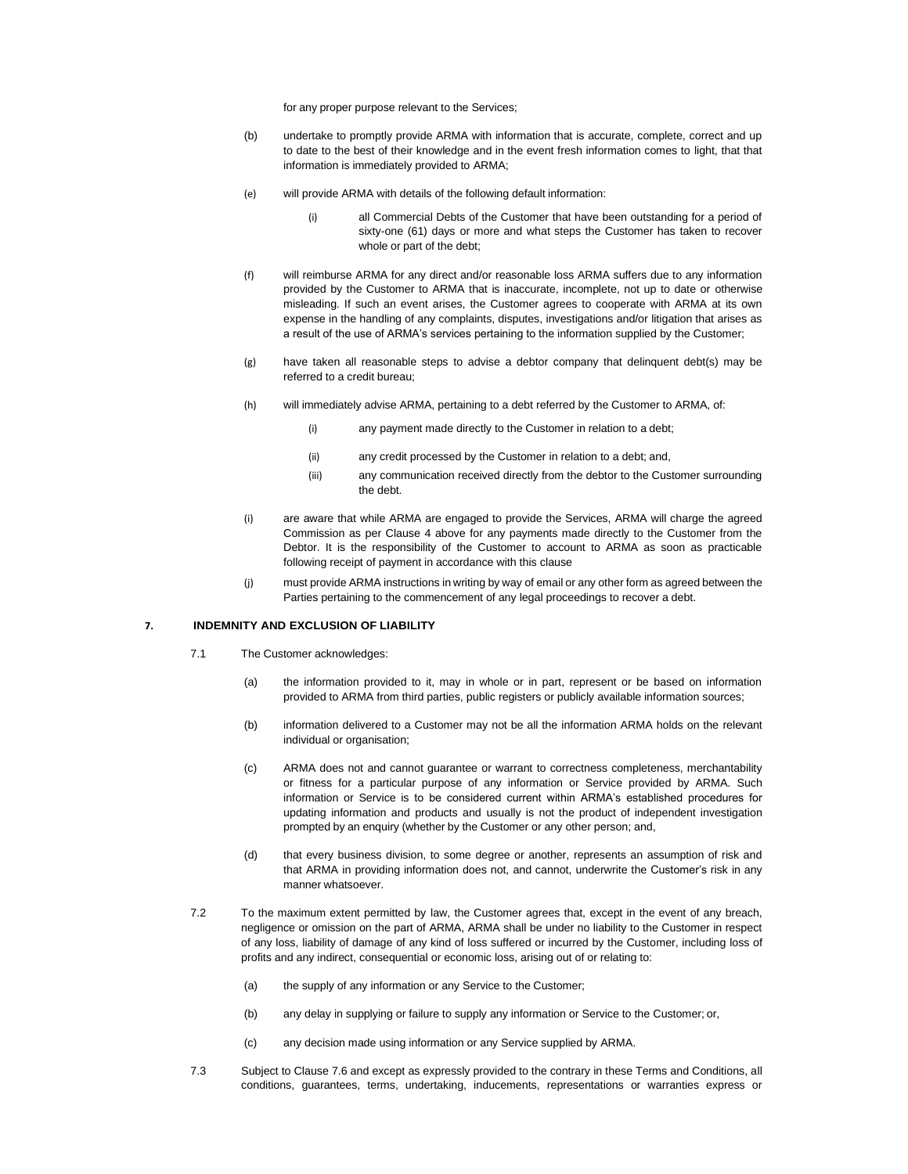for any proper purpose relevant to the Services;

- (b) undertake to promptly provide ARMA with information that is accurate, complete, correct and up to date to the best of their knowledge and in the event fresh information comes to light, that that information is immediately provided to ARMA;
- (e) will provide ARMA with details of the following default information:
	- (i) all Commercial Debts of the Customer that have been outstanding for a period of sixty-one (61) days or more and what steps the Customer has taken to recover whole or part of the debt;
- (f) will reimburse ARMA for any direct and/or reasonable loss ARMA suffers due to any information provided by the Customer to ARMA that is inaccurate, incomplete, not up to date or otherwise misleading. If such an event arises, the Customer agrees to cooperate with ARMA at its own expense in the handling of any complaints, disputes, investigations and/or litigation that arises as a result of the use of ARMA's services pertaining to the information supplied by the Customer;
- (g) have taken all reasonable steps to advise a debtor company that delinquent debt(s) may be referred to a credit bureau;
- (h) will immediately advise ARMA, pertaining to a debt referred by the Customer to ARMA, of:
	- (i) any payment made directly to the Customer in relation to a debt;
	- (ii) any credit processed by the Customer in relation to a debt; and,
	- (iii) any communication received directly from the debtor to the Customer surrounding the debt.
- (i) are aware that while ARMA are engaged to provide the Services, ARMA will charge the agreed Commission as per Clause 4 above for any payments made directly to the Customer from the Debtor. It is the responsibility of the Customer to account to ARMA as soon as practicable following receipt of payment in accordance with this clause
- (j) must provide ARMA instructions in writing by way of email or any other form as agreed between the Parties pertaining to the commencement of any legal proceedings to recover a debt.

## **7. INDEMNITY AND EXCLUSION OF LIABILITY**

- 7.1 The Customer acknowledges:
	- (a) the information provided to it, may in whole or in part, represent or be based on information provided to ARMA from third parties, public registers or publicly available information sources;
	- (b) information delivered to a Customer may not be all the information ARMA holds on the relevant individual or organisation;
	- (c) ARMA does not and cannot guarantee or warrant to correctness completeness, merchantability or fitness for a particular purpose of any information or Service provided by ARMA. Such information or Service is to be considered current within ARMA's established procedures for updating information and products and usually is not the product of independent investigation prompted by an enquiry (whether by the Customer or any other person; and,
	- (d) that every business division, to some degree or another, represents an assumption of risk and that ARMA in providing information does not, and cannot, underwrite the Customer's risk in any manner whatsoever.
- 7.2 To the maximum extent permitted by law, the Customer agrees that, except in the event of any breach, negligence or omission on the part of ARMA, ARMA shall be under no liability to the Customer in respect of any loss, liability of damage of any kind of loss suffered or incurred by the Customer, including loss of profits and any indirect, consequential or economic loss, arising out of or relating to:
	- (a) the supply of any information or any Service to the Customer;
	- (b) any delay in supplying or failure to supply any information or Service to the Customer; or,
	- (c) any decision made using information or any Service supplied by ARMA.
- 7.3 Subject to Clause 7.6 and except as expressly provided to the contrary in these Terms and Conditions, all conditions, guarantees, terms, undertaking, inducements, representations or warranties express or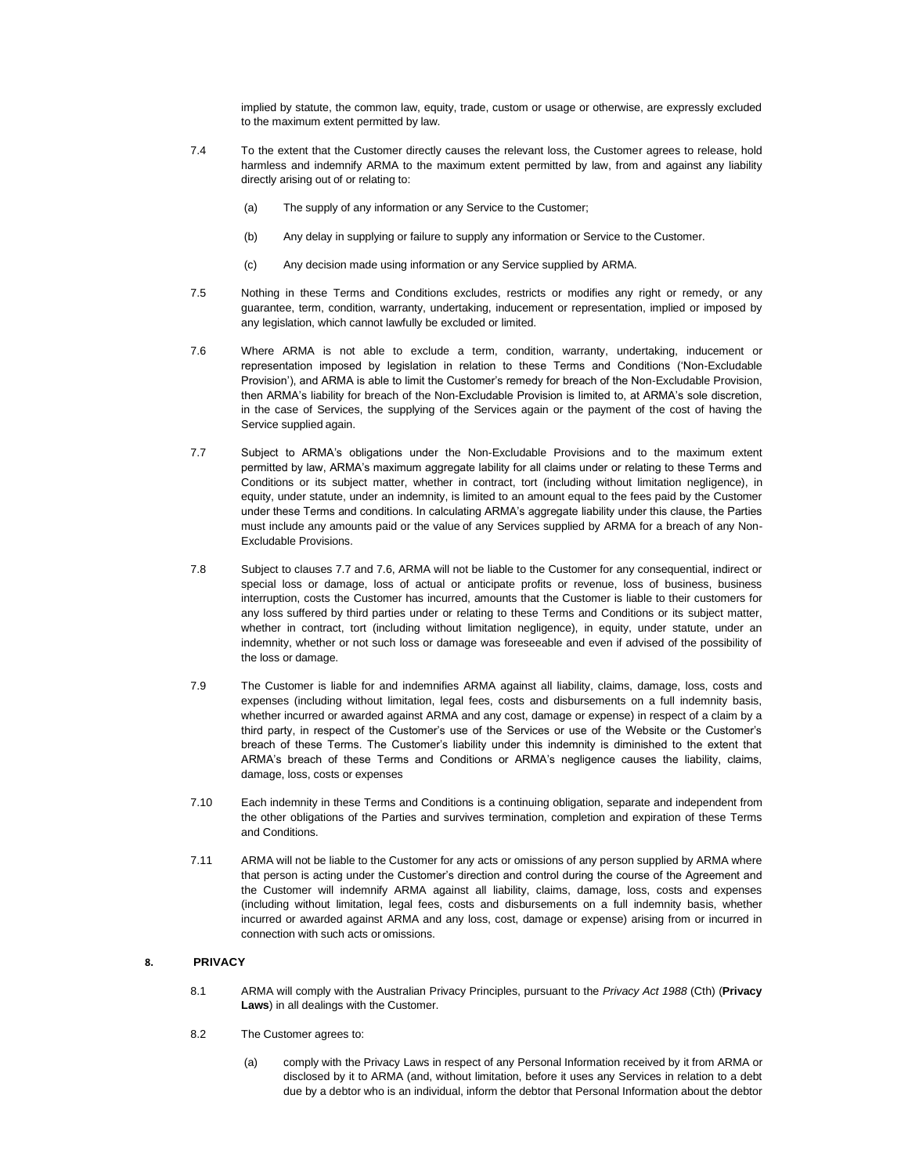implied by statute, the common law, equity, trade, custom or usage or otherwise, are expressly excluded to the maximum extent permitted by law.

- 7.4 To the extent that the Customer directly causes the relevant loss, the Customer agrees to release, hold harmless and indemnify ARMA to the maximum extent permitted by law, from and against any liability directly arising out of or relating to:
	- (a) The supply of any information or any Service to the Customer;
	- (b) Any delay in supplying or failure to supply any information or Service to the Customer.
	- (c) Any decision made using information or any Service supplied by ARMA.
- 7.5 Nothing in these Terms and Conditions excludes, restricts or modifies any right or remedy, or any guarantee, term, condition, warranty, undertaking, inducement or representation, implied or imposed by any legislation, which cannot lawfully be excluded or limited.
- 7.6 Where ARMA is not able to exclude a term, condition, warranty, undertaking, inducement or representation imposed by legislation in relation to these Terms and Conditions ('Non-Excludable Provision'), and ARMA is able to limit the Customer's remedy for breach of the Non-Excludable Provision, then ARMA's liability for breach of the Non-Excludable Provision is limited to, at ARMA's sole discretion, in the case of Services, the supplying of the Services again or the payment of the cost of having the Service supplied again.
- 7.7 Subject to ARMA's obligations under the Non-Excludable Provisions and to the maximum extent permitted by law, ARMA's maximum aggregate lability for all claims under or relating to these Terms and Conditions or its subject matter, whether in contract, tort (including without limitation negligence), in equity, under statute, under an indemnity, is limited to an amount equal to the fees paid by the Customer under these Terms and conditions. In calculating ARMA's aggregate liability under this clause, the Parties must include any amounts paid or the value of any Services supplied by ARMA for a breach of any Non-Excludable Provisions.
- 7.8 Subject to clauses 7.7 and 7.6, ARMA will not be liable to the Customer for any consequential, indirect or special loss or damage, loss of actual or anticipate profits or revenue, loss of business, business interruption, costs the Customer has incurred, amounts that the Customer is liable to their customers for any loss suffered by third parties under or relating to these Terms and Conditions or its subject matter, whether in contract, tort (including without limitation negligence), in equity, under statute, under an indemnity, whether or not such loss or damage was foreseeable and even if advised of the possibility of the loss or damage.
- 7.9 The Customer is liable for and indemnifies ARMA against all liability, claims, damage, loss, costs and expenses (including without limitation, legal fees, costs and disbursements on a full indemnity basis, whether incurred or awarded against ARMA and any cost, damage or expense) in respect of a claim by a third party, in respect of the Customer's use of the Services or use of the Website or the Customer's breach of these Terms. The Customer's liability under this indemnity is diminished to the extent that ARMA's breach of these Terms and Conditions or ARMA's negligence causes the liability, claims, damage, loss, costs or expenses
- 7.10 Each indemnity in these Terms and Conditions is a continuing obligation, separate and independent from the other obligations of the Parties and survives termination, completion and expiration of these Terms and Conditions.
- 7.11 ARMA will not be liable to the Customer for any acts or omissions of any person supplied by ARMA where that person is acting under the Customer's direction and control during the course of the Agreement and the Customer will indemnify ARMA against all liability, claims, damage, loss, costs and expenses (including without limitation, legal fees, costs and disbursements on a full indemnity basis, whether incurred or awarded against ARMA and any loss, cost, damage or expense) arising from or incurred in connection with such acts or omissions.

#### **8. PRIVACY**

- 8.1 ARMA will comply with the Australian Privacy Principles, pursuant to the *Privacy Act 1988* (Cth) (**Privacy Laws**) in all dealings with the Customer.
- 8.2 The Customer agrees to:
	- (a) comply with the Privacy Laws in respect of any Personal Information received by it from ARMA or disclosed by it to ARMA (and, without limitation, before it uses any Services in relation to a debt due by a debtor who is an individual, inform the debtor that Personal Information about the debtor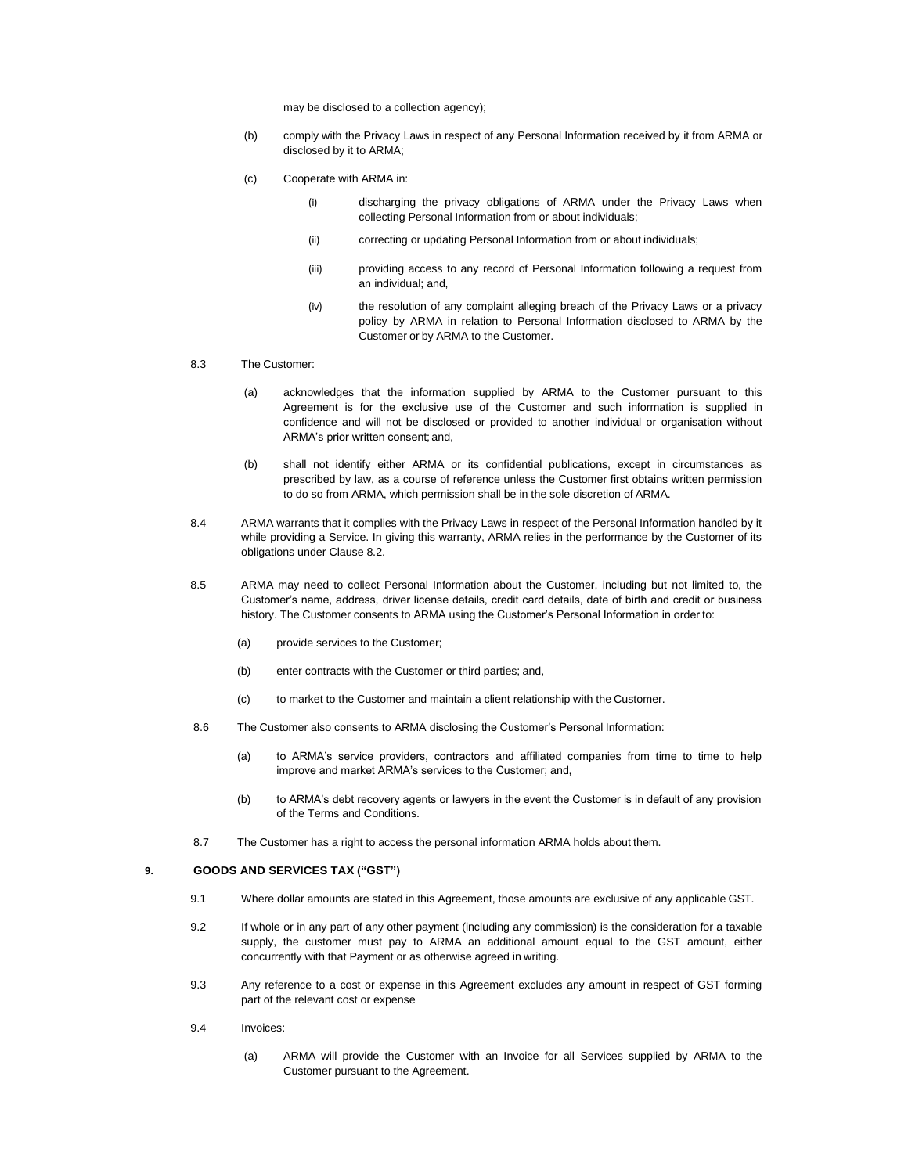may be disclosed to a collection agency);

- (b) comply with the Privacy Laws in respect of any Personal Information received by it from ARMA or disclosed by it to ARMA;
- (c) Cooperate with ARMA in:
	- (i) discharging the privacy obligations of ARMA under the Privacy Laws when collecting Personal Information from or about individuals;
	- (ii) correcting or updating Personal Information from or about individuals;
	- (iii) providing access to any record of Personal Information following a request from an individual; and,
	- (iv) the resolution of any complaint alleging breach of the Privacy Laws or a privacy policy by ARMA in relation to Personal Information disclosed to ARMA by the Customer or by ARMA to the Customer.

## 8.3 The Customer:

- (a) acknowledges that the information supplied by ARMA to the Customer pursuant to this Agreement is for the exclusive use of the Customer and such information is supplied in confidence and will not be disclosed or provided to another individual or organisation without ARMA's prior written consent; and,
- (b) shall not identify either ARMA or its confidential publications, except in circumstances as prescribed by law, as a course of reference unless the Customer first obtains written permission to do so from ARMA, which permission shall be in the sole discretion of ARMA.
- 8.4 ARMA warrants that it complies with the Privacy Laws in respect of the Personal Information handled by it while providing a Service. In giving this warranty, ARMA relies in the performance by the Customer of its obligations under Clause 8.2.
- 8.5 ARMA may need to collect Personal Information about the Customer, including but not limited to, the Customer's name, address, driver license details, credit card details, date of birth and credit or business history. The Customer consents to ARMA using the Customer's Personal Information in order to:
	- (a) provide services to the Customer;
	- (b) enter contracts with the Customer or third parties; and,
	- (c) to market to the Customer and maintain a client relationship with the Customer.
- 8.6 The Customer also consents to ARMA disclosing the Customer's Personal Information:
	- (a) to ARMA's service providers, contractors and affiliated companies from time to time to help improve and market ARMA's services to the Customer; and,
	- (b) to ARMA's debt recovery agents or lawyers in the event the Customer is in default of any provision of the Terms and Conditions.
- 8.7 The Customer has a right to access the personal information ARMA holds about them.

#### **9. GOODS AND SERVICES TAX ("GST")**

- 9.1 Where dollar amounts are stated in this Agreement, those amounts are exclusive of any applicable GST.
- 9.2 If whole or in any part of any other payment (including any commission) is the consideration for a taxable supply, the customer must pay to ARMA an additional amount equal to the GST amount, either concurrently with that Payment or as otherwise agreed in writing.
- 9.3 Any reference to a cost or expense in this Agreement excludes any amount in respect of GST forming part of the relevant cost or expense
- 9.4 Invoices:
	- (a) ARMA will provide the Customer with an Invoice for all Services supplied by ARMA to the Customer pursuant to the Agreement.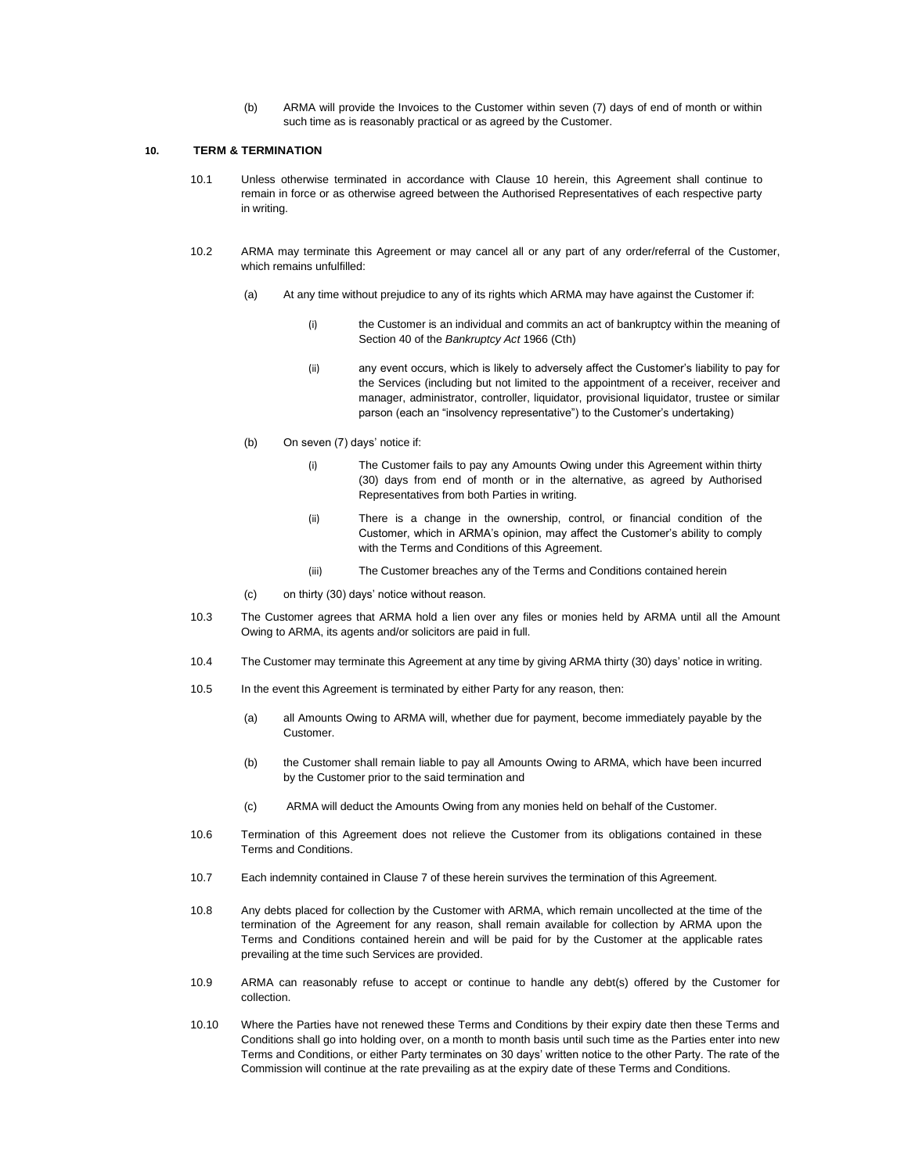(b) ARMA will provide the Invoices to the Customer within seven (7) days of end of month or within such time as is reasonably practical or as agreed by the Customer.

## **10. TERM & TERMINATION**

- 10.1 Unless otherwise terminated in accordance with Clause 10 herein, this Agreement shall continue to remain in force or as otherwise agreed between the Authorised Representatives of each respective party in writing.
- 10.2 ARMA may terminate this Agreement or may cancel all or any part of any order/referral of the Customer, which remains unfulfilled:
	- (a) At any time without prejudice to any of its rights which ARMA may have against the Customer if:
		- (i) the Customer is an individual and commits an act of bankruptcy within the meaning of Section 40 of the *Bankruptcy Act* 1966 (Cth)
		- (ii) any event occurs, which is likely to adversely affect the Customer's liability to pay for the Services (including but not limited to the appointment of a receiver, receiver and manager, administrator, controller, liquidator, provisional liquidator, trustee or similar parson (each an "insolvency representative") to the Customer's undertaking)
	- (b) On seven (7) days' notice if:
		- (i) The Customer fails to pay any Amounts Owing under this Agreement within thirty (30) days from end of month or in the alternative, as agreed by Authorised Representatives from both Parties in writing.
		- (ii) There is a change in the ownership, control, or financial condition of the Customer, which in ARMA's opinion, may affect the Customer's ability to comply with the Terms and Conditions of this Agreement.
		- (iii) The Customer breaches any of the Terms and Conditions contained herein
	- (c) on thirty (30) days' notice without reason.
- 10.3 The Customer agrees that ARMA hold a lien over any files or monies held by ARMA until all the Amount Owing to ARMA, its agents and/or solicitors are paid in full.
- 10.4 The Customer may terminate this Agreement at any time by giving ARMA thirty (30) days' notice in writing.
- 10.5 In the event this Agreement is terminated by either Party for any reason, then:
	- (a) all Amounts Owing to ARMA will, whether due for payment, become immediately payable by the Customer.
	- (b) the Customer shall remain liable to pay all Amounts Owing to ARMA, which have been incurred by the Customer prior to the said termination and
	- (c) ARMA will deduct the Amounts Owing from any monies held on behalf of the Customer.
- 10.6 Termination of this Agreement does not relieve the Customer from its obligations contained in these Terms and Conditions.
- 10.7 Each indemnity contained in Clause 7 of these herein survives the termination of this Agreement.
- 10.8 Any debts placed for collection by the Customer with ARMA, which remain uncollected at the time of the termination of the Agreement for any reason, shall remain available for collection by ARMA upon the Terms and Conditions contained herein and will be paid for by the Customer at the applicable rates prevailing at the time such Services are provided.
- 10.9 ARMA can reasonably refuse to accept or continue to handle any debt(s) offered by the Customer for collection.
- 10.10 Where the Parties have not renewed these Terms and Conditions by their expiry date then these Terms and Conditions shall go into holding over, on a month to month basis until such time as the Parties enter into new Terms and Conditions, or either Party terminates on 30 days' written notice to the other Party. The rate of the Commission will continue at the rate prevailing as at the expiry date of these Terms and Conditions.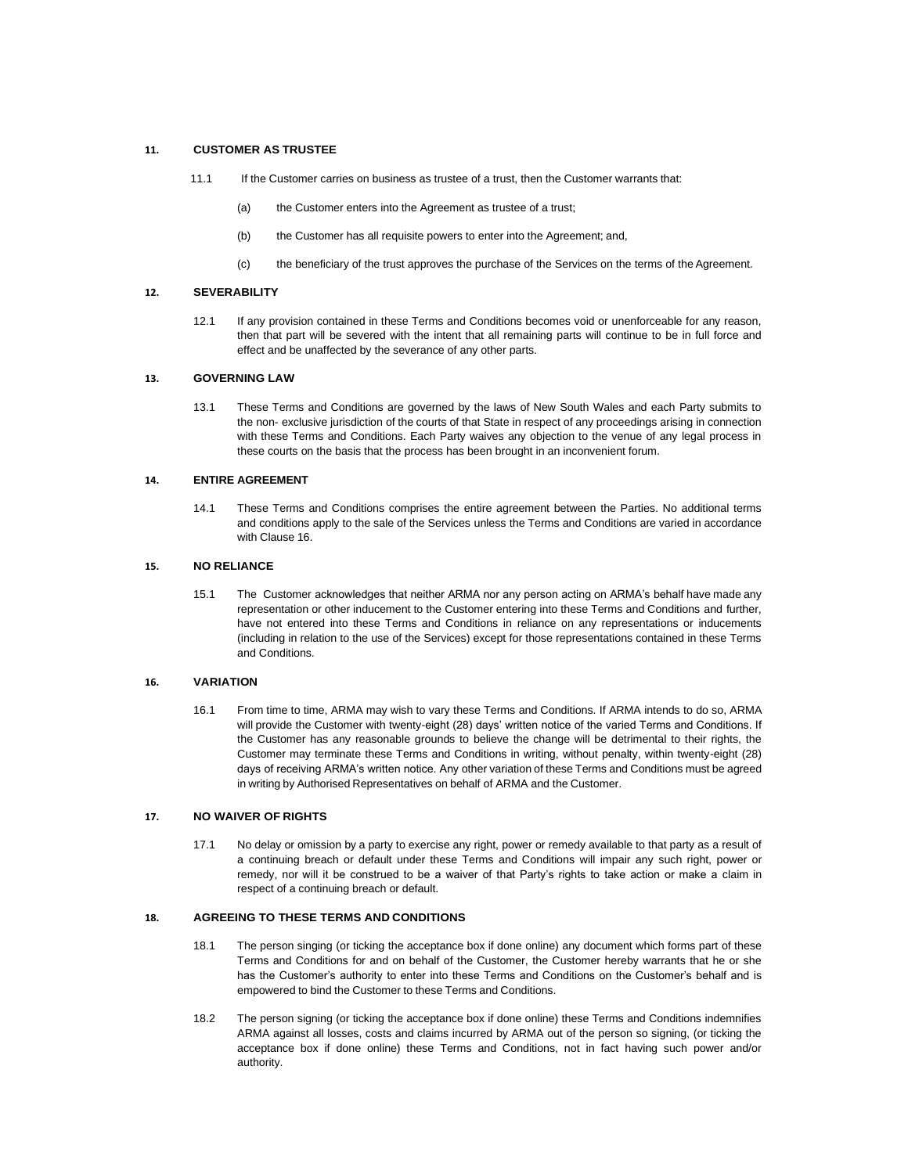## **11. CUSTOMER AS TRUSTEE**

- 11.1 If the Customer carries on business as trustee of a trust, then the Customer warrants that:
	- (a) the Customer enters into the Agreement as trustee of a trust;
	- (b) the Customer has all requisite powers to enter into the Agreement; and,
	- (c) the beneficiary of the trust approves the purchase of the Services on the terms of the Agreement.

## **12. SEVERABILITY**

12.1 If any provision contained in these Terms and Conditions becomes void or unenforceable for any reason, then that part will be severed with the intent that all remaining parts will continue to be in full force and effect and be unaffected by the severance of any other parts.

## **13. GOVERNING LAW**

13.1 These Terms and Conditions are governed by the laws of New South Wales and each Party submits to the non- exclusive jurisdiction of the courts of that State in respect of any proceedings arising in connection with these Terms and Conditions. Each Party waives any objection to the venue of any legal process in these courts on the basis that the process has been brought in an inconvenient forum.

## **14. ENTIRE AGREEMENT**

14.1 These Terms and Conditions comprises the entire agreement between the Parties. No additional terms and conditions apply to the sale of the Services unless the Terms and Conditions are varied in accordance with Clause 16.

#### **15. NO RELIANCE**

15.1 The Customer acknowledges that neither ARMA nor any person acting on ARMA's behalf have made any representation or other inducement to the Customer entering into these Terms and Conditions and further, have not entered into these Terms and Conditions in reliance on any representations or inducements (including in relation to the use of the Services) except for those representations contained in these Terms and Conditions.

#### **16. VARIATION**

16.1 From time to time, ARMA may wish to vary these Terms and Conditions. If ARMA intends to do so, ARMA will provide the Customer with twenty-eight (28) days' written notice of the varied Terms and Conditions. If the Customer has any reasonable grounds to believe the change will be detrimental to their rights, the Customer may terminate these Terms and Conditions in writing, without penalty, within twenty-eight (28) days of receiving ARMA's written notice. Any other variation of these Terms and Conditions must be agreed in writing by Authorised Representatives on behalf of ARMA and the Customer.

## **17. NO WAIVER OF RIGHTS**

17.1 No delay or omission by a party to exercise any right, power or remedy available to that party as a result of a continuing breach or default under these Terms and Conditions will impair any such right, power or remedy, nor will it be construed to be a waiver of that Party's rights to take action or make a claim in respect of a continuing breach or default.

## **18. AGREEING TO THESE TERMS AND CONDITIONS**

- 18.1 The person singing (or ticking the acceptance box if done online) any document which forms part of these Terms and Conditions for and on behalf of the Customer, the Customer hereby warrants that he or she has the Customer's authority to enter into these Terms and Conditions on the Customer's behalf and is empowered to bind the Customer to these Terms and Conditions.
- 18.2 The person signing (or ticking the acceptance box if done online) these Terms and Conditions indemnifies ARMA against all losses, costs and claims incurred by ARMA out of the person so signing, (or ticking the acceptance box if done online) these Terms and Conditions, not in fact having such power and/or authority.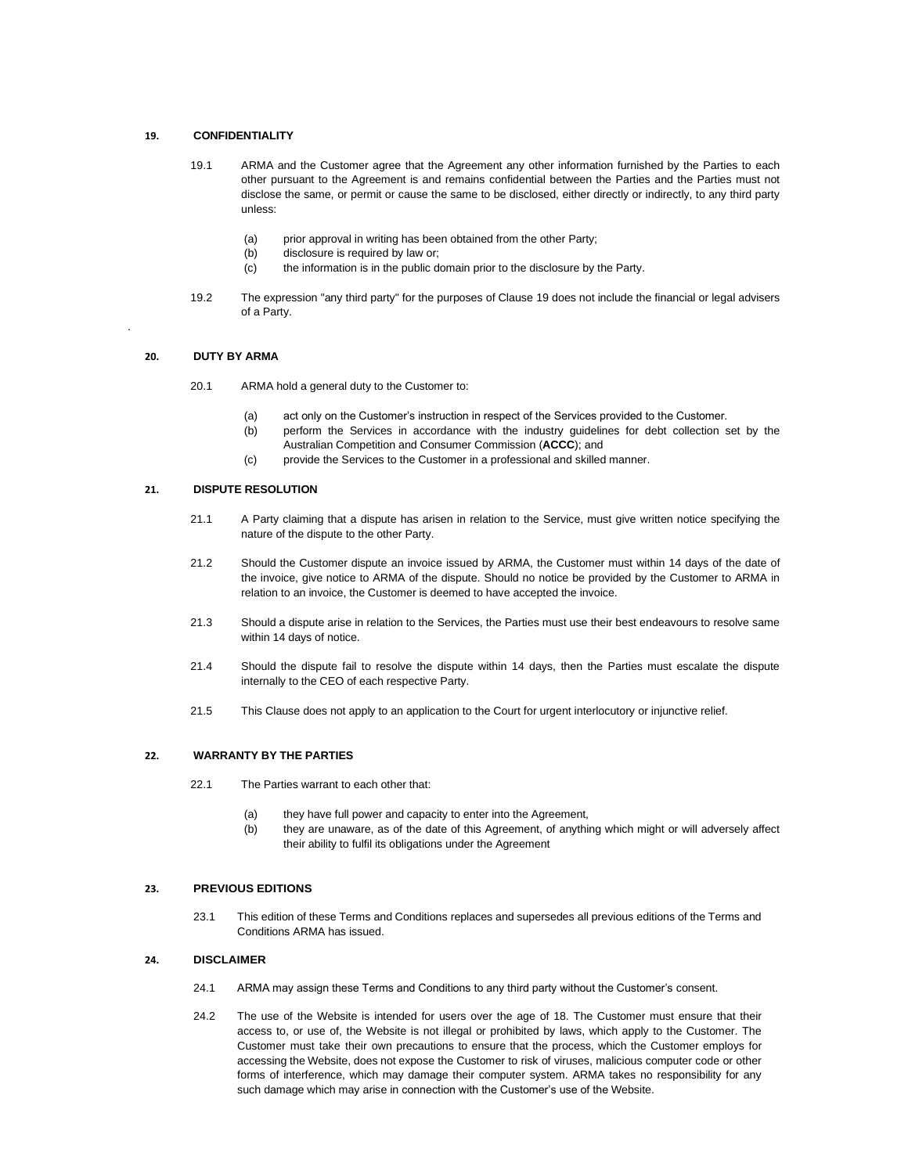## **19. CONFIDENTIALITY**

- 19.1 ARMA and the Customer agree that the Agreement any other information furnished by the Parties to each other pursuant to the Agreement is and remains confidential between the Parties and the Parties must not disclose the same, or permit or cause the same to be disclosed, either directly or indirectly, to any third party unless:
	- (a) prior approval in writing has been obtained from the other Party;
	- (b) disclosure is required by law or;
	- (c) the information is in the public domain prior to the disclosure by the Party.
- 19.2 The expression "any third party" for the purposes of Clause 19 does not include the financial or legal advisers of a Party.

## **20. DUTY BY ARMA**

.

- 20.1 ARMA hold a general duty to the Customer to:
	- (a) act only on the Customer's instruction in respect of the Services provided to the Customer.
	- (b) perform the Services in accordance with the industry guidelines for debt collection set by the Australian Competition and Consumer Commission (**ACCC**); and
	- (c) provide the Services to the Customer in a professional and skilled manner.

## **21. DISPUTE RESOLUTION**

- 21.1 A Party claiming that a dispute has arisen in relation to the Service, must give written notice specifying the nature of the dispute to the other Party.
- 21.2 Should the Customer dispute an invoice issued by ARMA, the Customer must within 14 days of the date of the invoice, give notice to ARMA of the dispute. Should no notice be provided by the Customer to ARMA in relation to an invoice, the Customer is deemed to have accepted the invoice.
- 21.3 Should a dispute arise in relation to the Services, the Parties must use their best endeavours to resolve same within 14 days of notice.
- 21.4 Should the dispute fail to resolve the dispute within 14 days, then the Parties must escalate the dispute internally to the CEO of each respective Party.
- 21.5 This Clause does not apply to an application to the Court for urgent interlocutory or injunctive relief.

#### **22. WARRANTY BY THE PARTIES**

- 22.1 The Parties warrant to each other that:
	- (a) they have full power and capacity to enter into the Agreement,
	- (b) they are unaware, as of the date of this Agreement, of anything which might or will adversely affect their ability to fulfil its obligations under the Agreement

## **23. PREVIOUS EDITIONS**

23.1 This edition of these Terms and Conditions replaces and supersedes all previous editions of the Terms and Conditions ARMA has issued.

## **24. DISCLAIMER**

- 24.1 ARMA may assign these Terms and Conditions to any third party without the Customer's consent.
- 24.2 The use of the Website is intended for users over the age of 18. The Customer must ensure that their access to, or use of, the Website is not illegal or prohibited by laws, which apply to the Customer. The Customer must take their own precautions to ensure that the process, which the Customer employs for accessing the Website, does not expose the Customer to risk of viruses, malicious computer code or other forms of interference, which may damage their computer system. ARMA takes no responsibility for any such damage which may arise in connection with the Customer's use of the Website.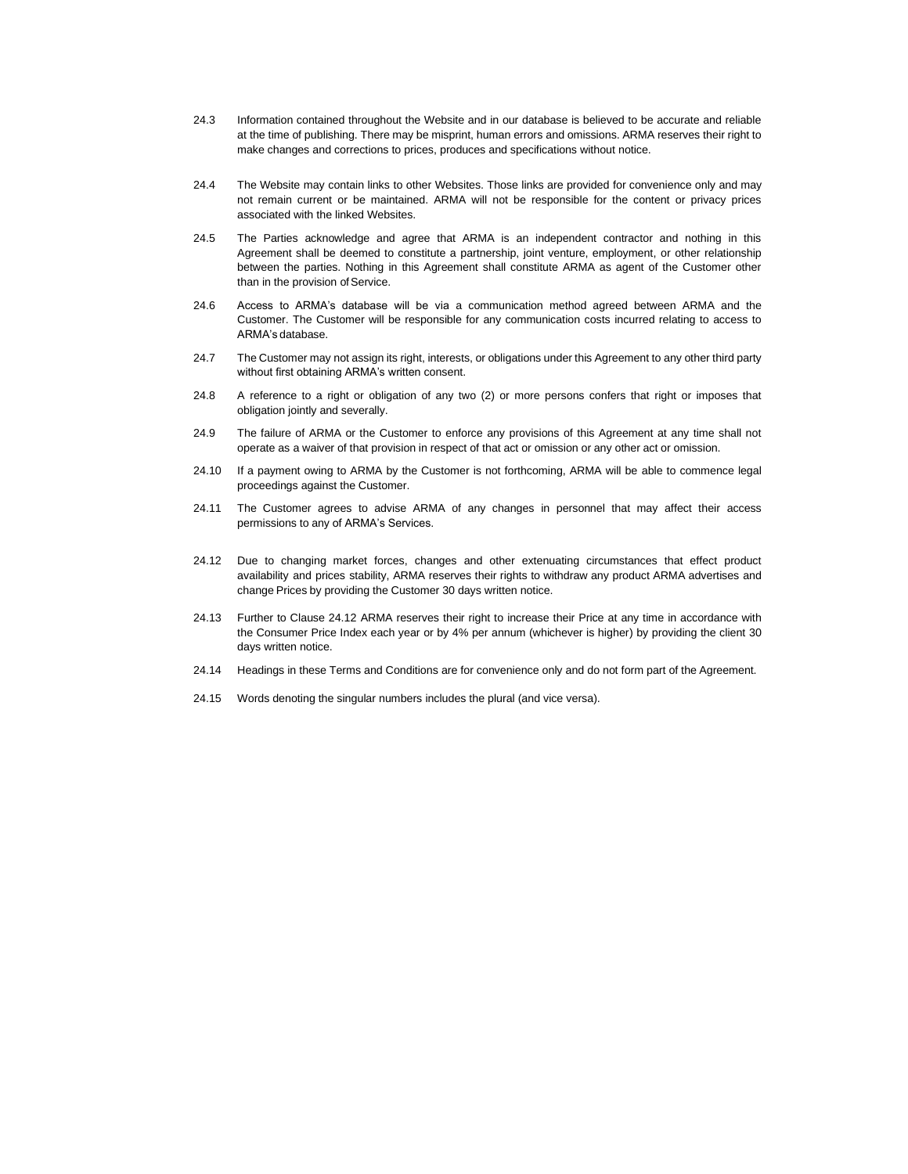- 24.3 Information contained throughout the Website and in our database is believed to be accurate and reliable at the time of publishing. There may be misprint, human errors and omissions. ARMA reserves their right to make changes and corrections to prices, produces and specifications without notice.
- 24.4 The Website may contain links to other Websites. Those links are provided for convenience only and may not remain current or be maintained. ARMA will not be responsible for the content or privacy prices associated with the linked Websites.
- 24.5 The Parties acknowledge and agree that ARMA is an independent contractor and nothing in this Agreement shall be deemed to constitute a partnership, joint venture, employment, or other relationship between the parties. Nothing in this Agreement shall constitute ARMA as agent of the Customer other than in the provision of Service.
- 24.6 Access to ARMA's database will be via a communication method agreed between ARMA and the Customer. The Customer will be responsible for any communication costs incurred relating to access to ARMA's database.
- 24.7 The Customer may not assign its right, interests, or obligations under this Agreement to any other third party without first obtaining ARMA's written consent.
- 24.8 A reference to a right or obligation of any two (2) or more persons confers that right or imposes that obligation jointly and severally.
- 24.9 The failure of ARMA or the Customer to enforce any provisions of this Agreement at any time shall not operate as a waiver of that provision in respect of that act or omission or any other act or omission.
- 24.10 If a payment owing to ARMA by the Customer is not forthcoming, ARMA will be able to commence legal proceedings against the Customer.
- 24.11 The Customer agrees to advise ARMA of any changes in personnel that may affect their access permissions to any of ARMA's Services.
- 24.12 Due to changing market forces, changes and other extenuating circumstances that effect product availability and prices stability, ARMA reserves their rights to withdraw any product ARMA advertises and change Prices by providing the Customer 30 days written notice.
- 24.13 Further to Clause 24.12 ARMA reserves their right to increase their Price at any time in accordance with the Consumer Price Index each year or by 4% per annum (whichever is higher) by providing the client 30 days written notice.
- 24.14 Headings in these Terms and Conditions are for convenience only and do not form part of the Agreement.
- 24.15 Words denoting the singular numbers includes the plural (and vice versa).